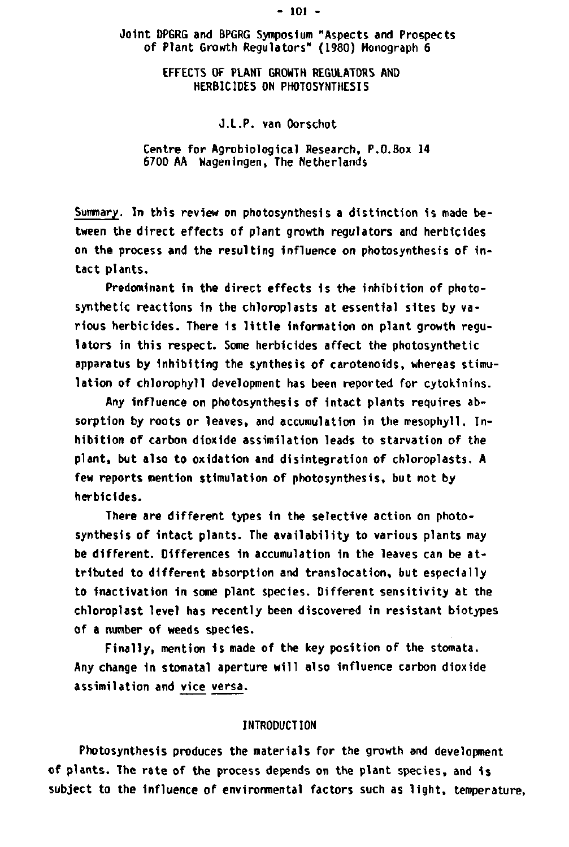### **Joint DPGRG and BPGRG Symposium "Aspects and Prospects of Plant Growth Regulators" (1980) Monograph 6**

# **EFFECTS OF PLANT GROWTH REGULATORS AND HERBICIDES ON PHOTOSYNTHESIS**

# **J.L.P. van Oorschot**

### **Centre for Agrobiological Research, P.O.Box 14 6700 AA Wageningen, The Netherlands**

**Summary. In this review on photosynthesis a distinction is made between the direct effects of plant growth regulators and herbicides on the process and the resulting Influence on photosynthesis of intact plants.** 

**Predominant in the direct effects is the inhibition of photosynthetic reactions in the chloroplasts at essential sites by various herbicides. There is little information on plant growth regulators in this respect. Some herbicides affect the photosynthetic apparatus by inhibiting the synthesis of carotenoids, whereas stimulation of chlorophyll development has been reported for cytokinins.** 

**Any influence on photosynthesis of intact plants requires absorption by roots or leaves, and accumulation in the mesophyll. Inhibition of carbon dioxide assimilation leads to starvation of the plant, but also to oxidation and disintegration of chloroplasts. A few reports mention stimulation of photosynthesis, but not by herbicides.** 

**There are different types in the selective action on photosynthesis of intact plants. The availability to various plants may be different. Differences in accumulation in the leaves can be attributed to different absorption and translocation, but especially to inactivatlon in some plant species. Different sensitivity at the chloroplast level has recently been discovered in resistant biotypes of a number of weeds species.** 

Finally, mention is made of the key position of the stomata. **Any change in stomatal aperture will also influence carbon dioxide assimilation and vice versa.** 

## **INTRODUCTION**

**Photosynthesis produces the materials for the growth and development of plants. The rate of the process depends on the plant species, and is subject to the influence of environmental factors such as light, temperature,** 

#### **- 101 -**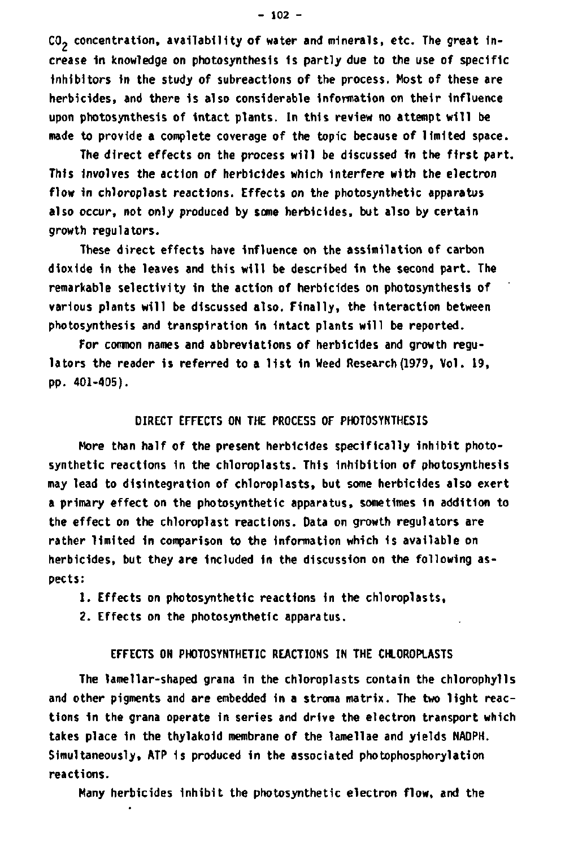**CO- concentration, availability of water and minerals, etc. The great increase in knowledge on photosynthesis is partly due to the use of specific Inhibitors in the study of subreactions of the process. Most of these are herbicides, and there 1s also considerable Information on their influence upon photosynthesis of Intact plants. In this review no attempt will be made to provide a complete coverage of the topic because of limited space.** 

**The direct effects on the process will be discussed In the first part. This Involves the action of herbicides which Interfere with the electron flow In chloroplast reactions. Effects on the photosynthetic apparatus also occur, not only produced by some herbicides, but also by certain growth regulators.** 

These direct effects have influence on the assimilation of carbon **dioxide In the leaves and this will be described in the second part. The remarkable selectivity in the action of herbicides on photosynthesis of various plants will be discussed also. Finally, the interaction between photosynthesis and transpiration in Intact plants will be reported.** 

**For common names and abbreviations of herbicides and growth regulators the reader is referred to a 11st in Weed Research (1979, Vol. 19, pp. 401-405).** 

# **DIRECT EFFECTS ON THE PROCESS OF PHOTOSYNTHESIS**

**More than half of the present herbicides specifically inhibit photosynthetic reactions 1n the chloroplasts. This inhibition of photosynthesis may lead to disintegration of chloroplasts, but some herbicides also exert a primary effect on the photosynthetic apparatus, sometimes in addition to the effect on the chloroplast reactions. Data on growth regulators are rather limited in comparison to the information which is available on herbicides, but they are Included in the discussion on the following aspects:** 

**1. Effects on photosynthetic reactions In the chloroplasts,** 

**2. Effects on the photosynthetic apparatus.** 

### **EFFECTS ON PHOTOSYNTHETIC REACTIONS IN THE CHLOROPLASTS**

**The lamellar-shaped grana in the chloroplasts contain the chlorophylls and other pigments and are embedded in a stroma matrix. The two light reactions in the grana operate in series and drive the electron transport which takes place in the thylakoid membrane of the lamellae and yields NADPH. Simultaneously, ATP 1s produced in the associated photophosphorylation reactions.** 

**Many herbicides inhibit the photosynthetic electron flow, and the**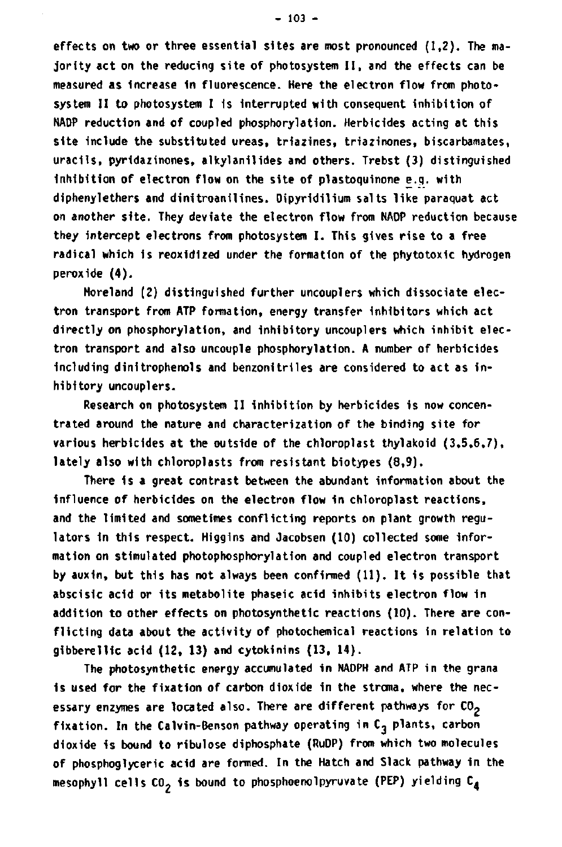**effects on two or three essential sites are most pronounced (1,2). The majority act on the reducing site of photosystem II, and the effects can be measured as increase in fluorescence. Here the electron flow from photosystem II to photosystem I is interrupted with consequent inhibition of NADP reduction and of coupled phosphorylation. Herbicides acting at this site include the substituted ureas, triazines, triazinones, biscarbamates, uracils, pyridazinones, alkylanil ides and others. Trebst (3) distinguished inhibition of electron flow on the site of plastoquinone e.g. with diphenylethers and dinitroanilines. Dipyridilium salts like paraquat act on another site. They deviate the electron flow from NADP reduction because they intercept electrons from photosystem I. This gives rise to a free radical which 1s reoxldized under the formation of the phytotoxic hydrogen peroxide (4).** 

**Moreland (2) distinguished further uncouplers which dissociate electron transport from ATP formation, energy transfer inhibitors which act directly on phosphorylation, and inhibitory uncouplers which inhibit electron transport and also uncouple phosphorylation. A number of herbicides including dinitrophenols and benzonitrlles are considered to act as inhibitory uncouplers.** 

**Research on photosystem II inhibition by herbicides is now concentrated around the nature and characterization of the binding site for various herbicides at the outside of the chloroplast thylakoid (3,5,6,7), lately also with chloroplasts from resistant biotypes (8,9).** 

**There 1s a great contrast between the abundant information about the influence of herbicides on the electron flow in chloroplast reactions, and the limited and sometimes conflicting reports on plant growth regulators 1n this respect. Higgins and Jacobsen (10) collected some information on stimulated photophosphorylation and coupled electron transport by auxin, but this has not always been confirmed (11). It is possible that abscislc acid or its metabolite phaseic acid inhibits electron flow in addition to other effects on photosynthetic reactions (10). There are conflicting data about the activity of photochemical reactions in relation to gibberellic acid (12, 13) and cytokinins (13, 14).** 

**The photosynthetic energy accumulated in NADPH and ATP in the grana is used for the fixation of carbon dioxide in the stroma, where the necessary enzymes are located also. There are different pathways for C0<sup>2</sup> fixation. In the Calvin-Benson pathway operating in Cj plants, carbon dioxide 1s bound to ribulose diphosphate (RuDP) from which two molecules of phosphoglyceric acid are formed. In the Hatch and Slack pathway in the mesophyll cells C02 is bound to phosphoenolpyruvate (PEP) yielding C4**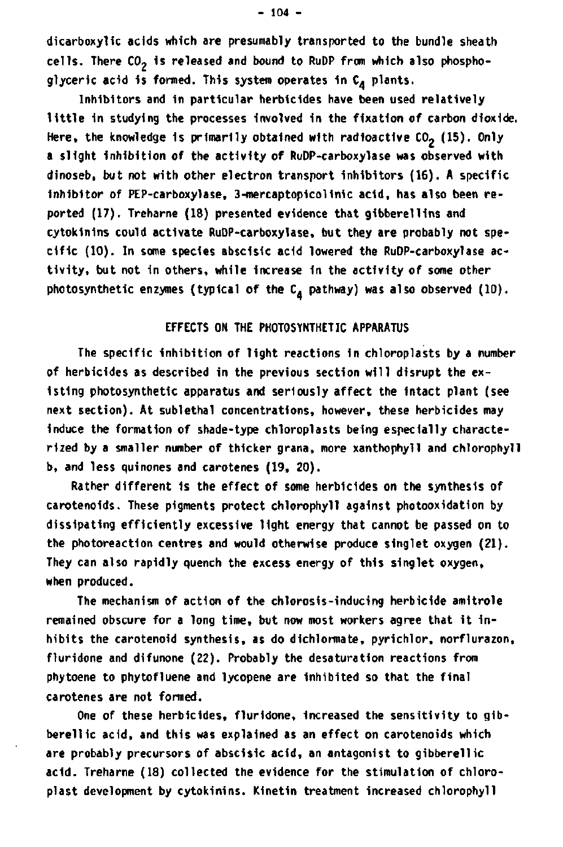**dicarboxylic acids which are presumably transported to the bundle sheath cells. There C02 is released and bound to RuDP from which also phosphoglyceric acid is formed. This system operates 1n C^ plants.** 

**Inhibitors and in particular herbicides have been used relatively little in studying the processes Involved in the fixation of carbon dioxide.**  Here, the knowledge is primarily obtained with radioactive CO<sub>2</sub> (15). Only **a slight Inhibition of the activity of RuDP-carboxylase was observed with dinoseb, but not with other electron transport inhibitors (16). A specific Inhibitor of PEP-carboxylase, 3-mercaptopicolinic acid, has also been reported (17). Treharne (18) presented evidence that gibberellins and cytokinins could activate RuDP-carboxylase, but they are probably not spe**cific (10). In some species abscisic acid lowered the RuDP-carboxylase ac**tivity, but not in others, while increase in the activity of some other**  photosynthetic enzymes (typical of the C<sub>A</sub> pathway) was also observed (10).

# **EFFECTS ON THE PHOTOSYNTHETIC APPARATUS**

**The specific inhibition of light reactions 1n chloroplasts by a number of herbicides as described in the previous section will disrupt the existing photosynthetic apparatus and seriously affect the intact plant (see next section). At sublethal concentrations, however, these herbicides may induce the formation of shade-type chloroplasts being especially characterized by a smaller number of thicker grana, more xanthophyll and chlorophyll b, and less quinones and carotenes (19, 20).** 

**Rather different is the effect of some herbicides on the synthesis of carotenoids. These pigments protect chlorophyll against photooxidation by dissipating efficiently excessive light energy that cannot be passed on to the photoreaction centres and would otherwise produce singlet oxygen (21). They can also rapidly quench the excess energy of this singlet oxygen, when produced.** 

**The mechanism of action of the chlorosis-inducing herbicide amitrole remained obscure for a long time, but now most workers agree that it inhibits the carotenoid synthesis, as do dichlormate, pyrichlor, norflurazon, fluridone and dlfunone (22). Probably the desaturation reactions from phytoene to phytofluene and lycopene are Inhibited so that the final carotenes are not formed.** 

**One of these herbicides, fluridone. Increased the sensitivity to gib**berellic acid, and this was explained as an effect on carotenoids which **are probably precursors of abscisic acid, an antagonist to gibberellic acid. Treharne (18) collected the evidence for the stimulation of chloroplast development by cytokinins. Kinetln treatment increased chlorophyll**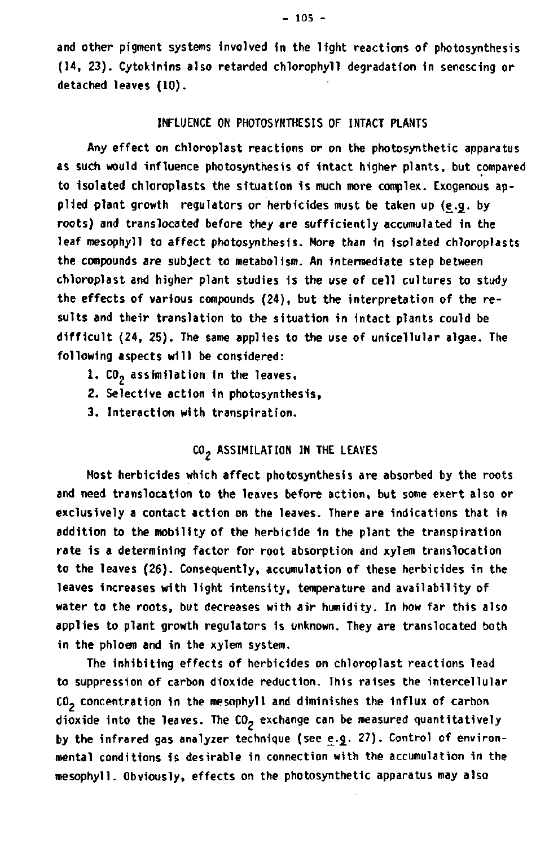**and other pigment systems involved in the light reactions of photosynthesis (14, 23). Cytokinins also retarded chlorophyll degradation in senescing or detached leaves (10).** 

#### **INFLUENCE ON PHOTOSYNTHESIS OF INTACT PLANTS**

**Any effect on chloroplast reactions or on the photosynthetic apparatus as such would influence photosynthesis of intact higher plants, but compared to isolated chloroplasts the situation is much more complex. Exogenous ap**plied plant growth regulators or herbicides must be taken up (e.g. by **roots) and translocated before they are sufficiently accumulated in the leaf mesophyll to affect photosynthesis. More than in isolated chloroplasts the compounds are subject to metabolism. An intermediate step between chloroplast and higher plant studies is the use of cell cultures to study the effects of various compounds (24), but the interpretation of the results and their translation to the situation in intact plants could be difficult (24, 25). The same applies to the use of unicellular algae. The following aspects will be considered:** 

- **1. C02 assimilation in the leaves,**
- **2. Selective action in photosynthesis,**
- **3. Interaction with transpiration.**

# **C 02 ASSIMILATION IN THE LEAVES**

**Most herbicides which affect photosynthesis are absorbed by the roots and need translocation to the leaves before action, but some exert also or exclusively a contact action on the leaves. There are indications that in addition to the mobility of the herbicide in the plant the transpiration rate is a determining factor for root absorption and xylem translocation to the leaves (26). Consequently, accumulation of these herbicides in the leaves increases with light intensity, temperature and availability of water to the roots, but decreases with air humidity. In how far this also applies to plant growth regulators is unknown. They are translocated both in the phloem and in the xylem system.** 

**The inhibiting effects of herbicides on chloroplast reactions lead to suppression of carbon dioxide reduction. This raises the intercellular CO- concentration in the mesophyll and diminishes the influx of carbon**  dioxide into the leaves. The CO<sub>2</sub> exchange can be measured quantitatively by the infrared gas analyzer technique (see e.g. 27). Control of environ**mental conditions is desirable in connection with the accumulation in the mesophyll. Obviously, effects on the photosynthetic apparatus may also**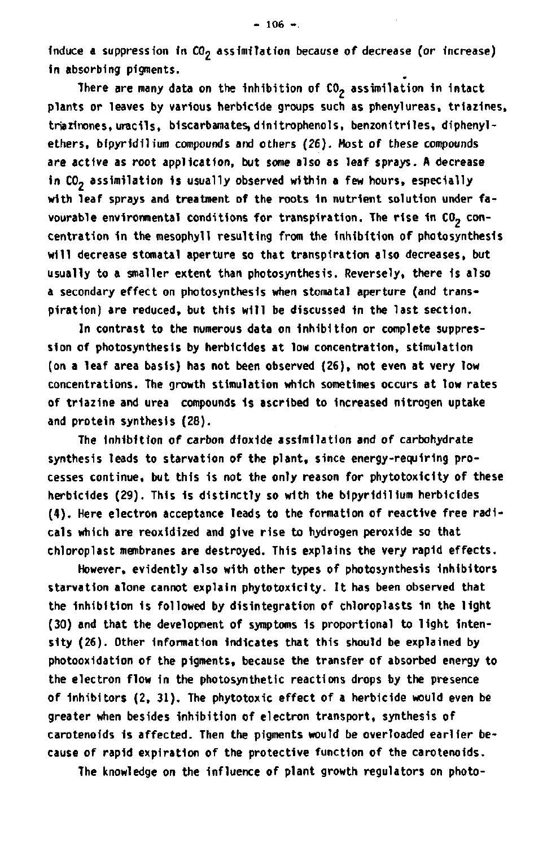**Induce a suppression in C02 assimilation because of decrease (or Increase) In absorbing pigments.** 

There are many data on the inhibition of CO<sub>2</sub> assimilation in intact **plants or leaves by various herbicide groups such as phenylureas, triazines,**  triazinones, uracils, biscarbamates, dinitrophenols, benzonitriles, diphenyl**ethers, bipyrldllium compounds and others (26). Most of these compounds are active as root application, but some also as leaf sprays. A decrease**  in CO<sub>2</sub> assimilation is usually observed within a few hours, especially **with leaf sprays and treatment of the roots in nutrient solution under fa**vourable environmental conditions for transpiration. The rise in CO<sub>2</sub> con**centration in the mesophyll resulting from the inhibition of photosynthesis will decrease stomatal aperture so that transpiration also decreases, but usually to a smaller extent than photosynthesis. Reversely, there is also a secondary effect on photosynthesis when stomatal aperture (and transpiration) are reduced, but this will be discussed in the last section.** 

**In contrast to the numerous data on inhibition or complete suppression of photosynthesis by herbicides at low concentration, stimulation (on a leaf area basis) has not been observed (26), not even at very low concentrations. The growth stimulation which sometimes occurs at low rates of triazine and urea compounds 1s ascribed to increased nitrogen uptake and protein synthesis (28).** 

**The Inhibition of carbon dioxide assimilation and of carbohydrate synthesis leads to starvation of the plant, since energy-requiring processes continue, but this is not the only reason for phytotoxicity of these**  herbicides (29). This is distinctly so with the bipyridilium herbicides **(4). Here electron acceptance leads to the formation of reactive free radicals which are reoxidized and give rise to hydrogen peroxide so that chloroplast membranes are destroyed. This explains the very rapid effects.** 

**However, evidently also with other types of photosynthesis inhibitors starvation alone cannot explain phytotoxicity. It has been observed that the inhibition is followed by disintegration of chloroplasts in the light (30) and that the development of symptoms 1s proportional to light intensity (26). Other information indicates that this should be explained by photooxidation of the pigments, because the transfer of absorbed energy to the electron flow In the photosynthetic reactions drops by the presence of Inhibitors (2, 31). The phytotoxic effect of a herbicide would even be greater when besides inhibition of electron transport, synthesis of carotenoids is affected. Then the pigments would be overloaded earlier because of rapid expiration of the protective function of the carotenoids.** 

**The knowledge on the influence of plant growth regulators on photo-**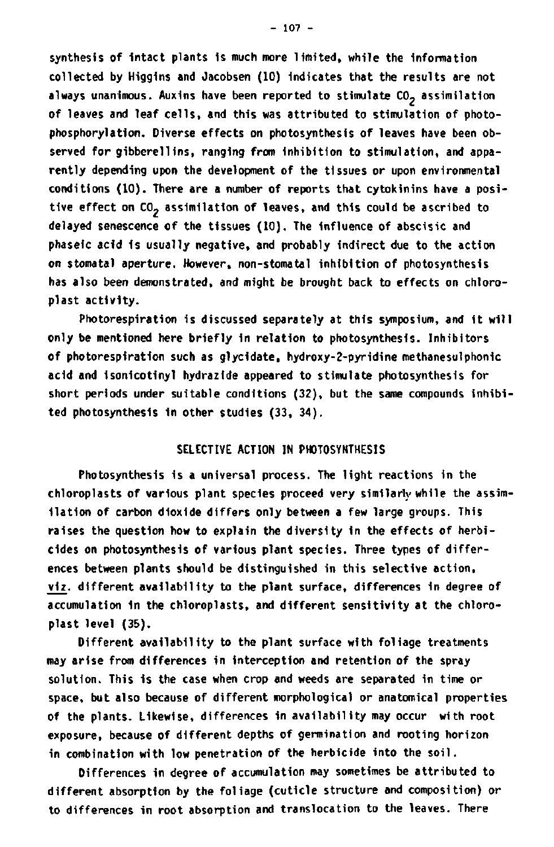**synthesis of intact plants is much more limited, while the information collected by Higgins and Jacobsen (10) indicates that the results are not always unanimous. Auxins have been reported to stimulate C02 assimilation of leaves and leaf cells, and this was attributed to stimulation of photophosphorylation. Diverse effects on photosynthesis of leaves have been ob**served for gibberellins, ranging from inhibition to stimulation, and appa**rently depending upon the development of the tissues or upon environmental conditions (10). There are a number of reports that cytokinins have a posi**tive effect on CO<sub>2</sub> assimilation of leaves, and this could be ascribed to **delayed senescence of the tissues (10). The influence of abscisic and phaseic acid is usually negative, and probably indirect due to the action on stomatal aperture. However, non-stomatal inhibition of photosynthesis has also been demonstrated, and might be brought back to effects on chloroplast activity.** 

**Photorespiration is discussed separately at this symposium, and it will only be mentioned here briefly in relation to photosynthesis. Inhibitors of photorespiration such as glycidate, hydroxy-2-pyridine methanesulphonic acid and isonicotinyl hydrazide appeared to stimulate photosynthesis for short periods under suitable conditions (32), but the same compounds inhibited photosynthesis in other studies (33, 34).** 

# **SELECTIVE ACTION IN PHOTOSYNTHESIS**

**Photosynthesis is a universal process. The light reactions in the chloroplasts of various plant species proceed very similarly while the assimilation of carbon dioxide differs only between a few large groups. This raises the question how to explain the diversity in the effects of herbicides on photosynthesis of various plant species. Three types of differences between plants should be distinguished in this selective action, viz. different availability to the plant surface, differences in degree of accumulation in the chloroplasts, and different sensitivity at the chloroplast level (35).** 

**Different availability to the plant surface with foliage treatments may arise from differences in interception and retention of the spray solution. This is the case when crop and weeds are separated in time or space, but also because of different morphological or anatomical properties of the plants. Likewise, differences in availability may occur with root exposure, because of different depths of germination and rooting horizon in combination with low penetration of the herbicide into the soil.** 

**Differences in degree of accumulation may sometimes be attributed to different absorption by the foliage (cuticle structure and composition) or to differences in root absorption and translocation to the leaves. There**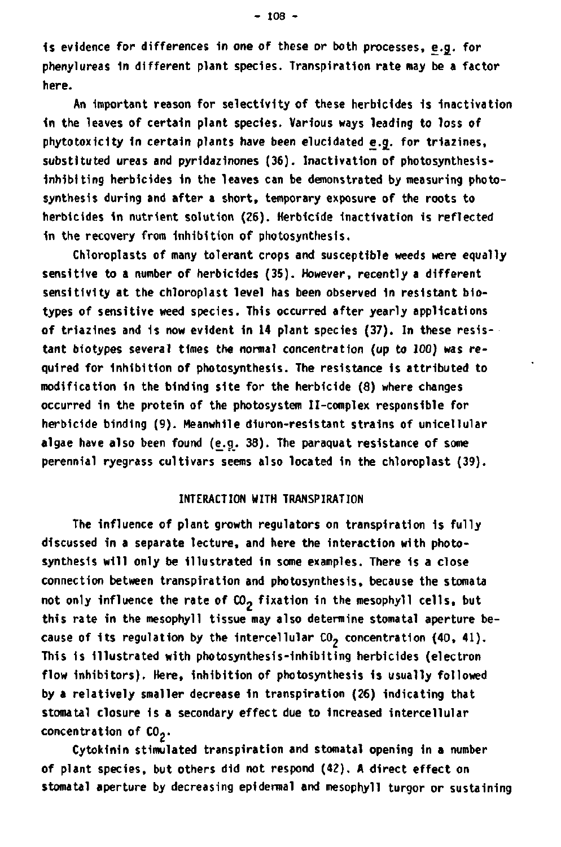**1s evidence for differences in one of these or both processes, e.g\_. for phenylureas 1n different plant species. Transpiration rate may be a factor here.** 

**An Important reason for selectivity of these herbicides is Inactivation in the leaves of certain plant species. Various ways leading to loss of phytotoxicity in certain plants have been elucidated e.g. for triazines, substituted ureas and pyridazinones (36). Inactivation of photosynthesis-Inhibiting herbicides in the leaves can be demonstrated by measuring photosynthesis during and after a short, temporary exposure of the roots to herbicides in nutrient solution (26). Herbicide inactivation Is reflected In the recovery from Inhibition of photosynthesis.** 

**Chloroplasts of many tolerant crops and susceptible weeds were equally sensitive to a number of herbicides (35). However, recently a different sensitivity at the chloroplast level has been observed in resistant biotypes of sensitive weed species. This occurred after yearly applications of triazines and 1s now evident in 14 plant species (37). In these resistant biotypes several times the normal concentration (up to 100) was required for inhibition of photosynthesis. The resistance is attributed to modification in the binding site for the herbicide (8) where changes occurred in the protein of the photosystem II-complex responsible for herbicide binding (9). Meanwhile diuron-resistant strains of unicellular algae have also been found (e.g. 38). The paraquat resistance of some perennial ryegrass cultivars seems also located in the chloroplast (39).** 

## **INTERACTION WITH TRANSPIRATION**

**The influence of plant growth regulators on transpiration 1s fully discussed in a separate lecture, and here the Interaction with photosynthesis will only be illustrated in some examples. There is a close connection between transpiration and photosynthesis, because the stomata**  not only influence the rate of CO<sub>2</sub> fixation in the mesophyll cells, but **this rate in the mesophyll tissue may also determine stomatal aperture be**cause of its regulation by the intercellular CO<sub>2</sub> concentration (40, 41). **This is illustrated with photosynthesis-inhibiting herbicides (electron flow Inhibitors). Here, inhibition of photosynthesis is usually followed by a relatively smaller decrease In transpiration (26) indicating that stoma tal closure is a secondary effect due to increased intercellular concentration of CO--**

**Cytokinin stimulated transpiration and stomatal opening In a number of plant species, but others did not respond (42). A direct effect on stomatal aperture by decreasing epidermal and mesophyll turgor or sustaining**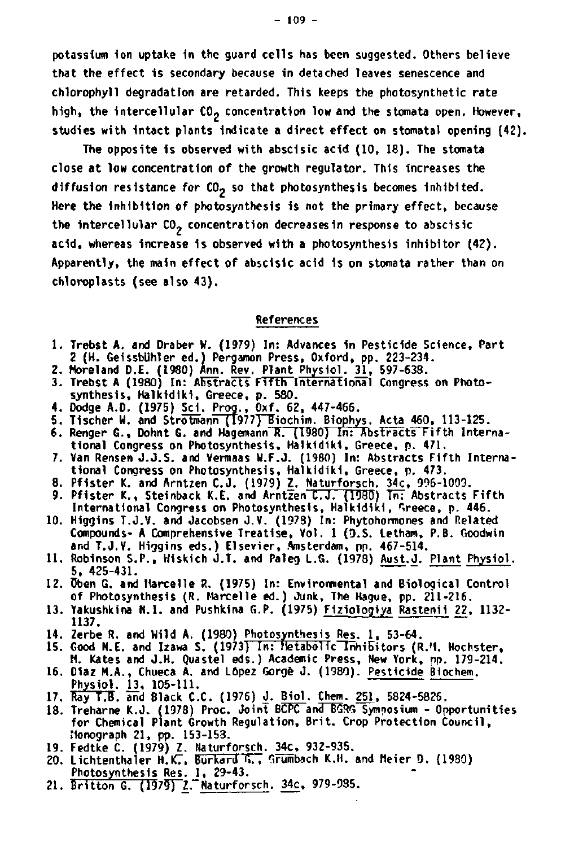**potassium Ion uptake 1n the guard cells has been suggested. Others believe that the effect is secondary because in detached leaves senescence and chlorophyll degradation are retarded. This keeps the photosynthetlc rate**  high, the intercellular CO<sub>2</sub> concentration low and the stomata open. However, **studies with intact plants indicate a direct effect on stomatal opening (42).** 

**The opposite is observed with absdsic acid (10, 18). The stomata close at low concentration of the growth regulator. This increases the**  diffusion resistance for CO<sub>2</sub> so that photosynthesis becomes inhibited. **Here the Inhibition of photosynthesis 1s not the primary effect, because**  the intercellular CO<sub>2</sub> concentration decreasesin response to abscisic **acid, whereas increase is observed with a photosynthesis inhibitor (42). Apparently, the main effect of abscisic acid is on stomata rather than on chloroplasts (see also 43).** 

**References** 

- **1. Trebst A. and Draber W. (1979) In: Advances in Pesticide S 2 (H. Geissbühler ed.) Pergamon Press, Oxford, pp. 223-234.**
- **2. Moreland D.E. (1980) Ann. Rev. Plant Physiol. 31, 597-638.**
- **3. Trebst A (1980) In: Abstracts Fifth International Congress on Photosynthesis, Halkidiki, Greece, p. 580.**
- **4. Dodge A.D. (1975) Sei. Prog., Oxf. 62, 447-466.**
- 5. Tischer W. and Strotmann (1977)<sup>B</sup>iochim. Biophys. Acta 460, 113-125.
- 6. Renger G., Dohnt G. and Hagemann R. (1980) In: Abstracts Fifth Interna**tional Congress on Photosynthesis, Halkidiki, Greece, p. 471.**
- **7. Van Rensen J.J.S. and Vermaas W.F.J. (1980) In: Abstracts Fifth International Congress on Photosynthesis, Halkidiki, Greece, p. 473.**
- 8. Pfister K. and Arntzen C.J. (1979) Z. <u>Naturforsch. 34c, 996-1009</u><br>9. Pfister K., Steinback K.E. and Arntzen C.J. (1980) Tn: Abstracts
- **International Congress on Photosynthesis, Halkidiki, Greece, p. 446.**
- **10. Higgins T.J.V. and Jacobsen J.V. (1978) In: Phytohormones and Related Compounds- A Comprehensive Treatise, Vol. 1 (D.S. Letham, P.B. Goodwin**  and T.J.V. Higgins eds.) Elsevier, Amsterdam, pp. 467-514.
- **11. Robinson S.P., Hiskich J.T. and Paleg L.G. (1978) Aust.J. Plant Physiol. 5, 425-431.**
- **12. üben G. and Marcelle R. (1975) In: Environmental and Biological Control of Photosynthesis (R. Marcelle ed.) Junk, The Hague, pp. 211-216.**
- **13. Yakushkina N.I. and Pushkina G.P. (1975) Fiziologiya Rastenil 22, 1132- 1137.**
- **14. Zerbe R. and Wild A. (1980) Photosynthesis Res. 1 . 53-64.**
- **15. Good N.E. and Izawa S. (1973) In: Metabolic Inhibitors (R.M. Hoch M. Kates and J.H. Quastel eds.) Academic Press, New York, op. 179-214.**
- **16. Diaz M.A., Chueca A. and López Gorgé J. (1980). Pesticide Bi Physiol. 13, 105-111.**
- **17. Ray T.B. and Black C.C. (1976) J. Biol. Chem. 251, 5824-5826.**
- **18. Treharne K.J. (1978) Proc. Joint BCPC and BGRG Symposium Opportunities for Chemical Plant Growth Regulation, Brit. Crop Protection Council, Monograph 21, pp. 153-153.**
- **19. Fedtke C. (1979) Z. Haturforsch. 34c, 932-935.**
- **20. Lichtenthaler H.KT, Burkard G., Grumbach K.H. and Meier 0. (1980) Photosynthesis Res. 1, 29-43.**
- 21. Britton G. (1979) Z. Naturforsch. 34c, 979-9